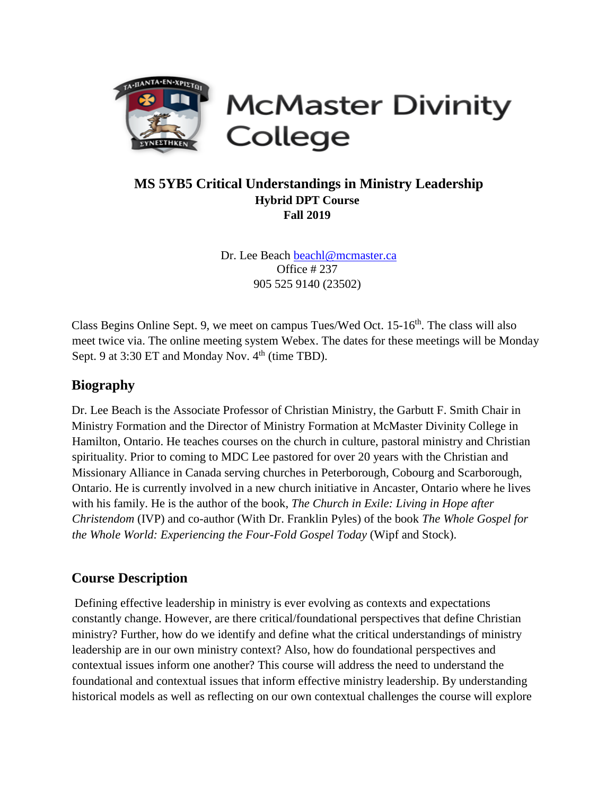

**McMaster Divinity** College

## **MS 5YB5 Critical Understandings in Ministry Leadership Hybrid DPT Course Fall 2019**

Dr. Lee Beach beachl@mcmaster.ca Office # 237 905 525 9140 (23502)

Class Begins Online Sept. 9, we meet on campus Tues/Wed Oct. 15-16<sup>th</sup>. The class will also meet twice via. The online meeting system Webex. The dates for these meetings will be Monday Sept. 9 at  $3:30$  ET and Monday Nov.  $4<sup>th</sup>$  (time TBD).

## **Biography**

Dr. Lee Beach is the Associate Professor of Christian Ministry, the Garbutt F. Smith Chair in Ministry Formation and the Director of Ministry Formation at McMaster Divinity College in Hamilton, Ontario. He teaches courses on the church in culture, pastoral ministry and Christian spirituality. Prior to coming to MDC Lee pastored for over 20 years with the Christian and Missionary Alliance in Canada serving churches in Peterborough, Cobourg and Scarborough, Ontario. He is currently involved in a new church initiative in Ancaster, Ontario where he lives with his family. He is the author of the book, *The Church in Exile: Living in Hope after Christendom* (IVP) and co-author (With Dr. Franklin Pyles) of the book *The Whole Gospel for the Whole World: Experiencing the Four-Fold Gospel Today* (Wipf and Stock).

## **Course Description**

Defining effective leadership in ministry is ever evolving as contexts and expectations constantly change. However, are there critical/foundational perspectives that define Christian ministry? Further, how do we identify and define what the critical understandings of ministry leadership are in our own ministry context? Also, how do foundational perspectives and contextual issues inform one another? This course will address the need to understand the foundational and contextual issues that inform effective ministry leadership. By understanding historical models as well as reflecting on our own contextual challenges the course will explore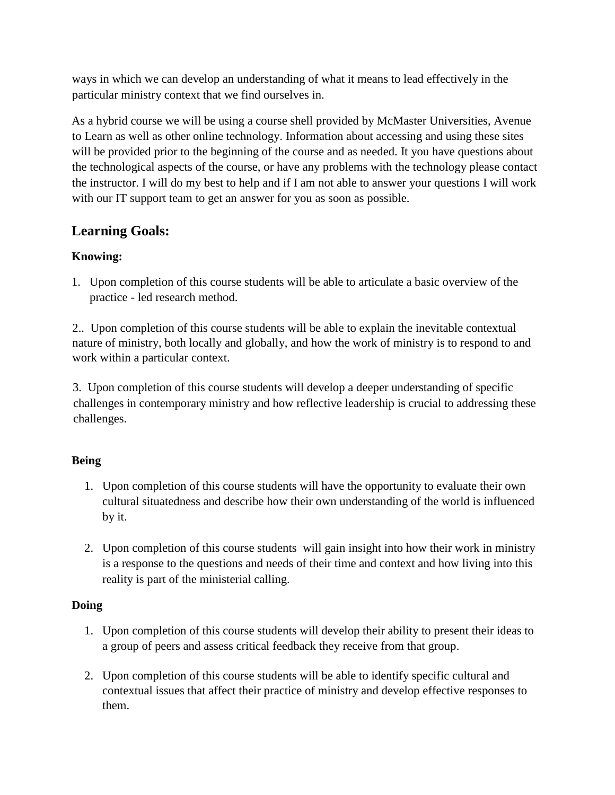ways in which we can develop an understanding of what it means to lead effectively in the particular ministry context that we find ourselves in.

As a hybrid course we will be using a course shell provided by McMaster Universities, Avenue to Learn as well as other online technology. Information about accessing and using these sites will be provided prior to the beginning of the course and as needed. It you have questions about the technological aspects of the course, or have any problems with the technology please contact the instructor. I will do my best to help and if I am not able to answer your questions I will work with our IT support team to get an answer for you as soon as possible.

# **Learning Goals:**

## **Knowing:**

1. Upon completion of this course students will be able to articulate a basic overview of the practice - led research method.

2.. Upon completion of this course students will be able to explain the inevitable contextual nature of ministry, both locally and globally, and how the work of ministry is to respond to and work within a particular context.

3. Upon completion of this course students will develop a deeper understanding of specific challenges in contemporary ministry and how reflective leadership is crucial to addressing these challenges.

## **Being**

- 1. Upon completion of this course students will have the opportunity to evaluate their own cultural situatedness and describe how their own understanding of the world is influenced by it.
- 2. Upon completion of this course students will gain insight into how their work in ministry is a response to the questions and needs of their time and context and how living into this reality is part of the ministerial calling.

### **Doing**

- 1. Upon completion of this course students will develop their ability to present their ideas to a group of peers and assess critical feedback they receive from that group.
- 2. Upon completion of this course students will be able to identify specific cultural and contextual issues that affect their practice of ministry and develop effective responses to them.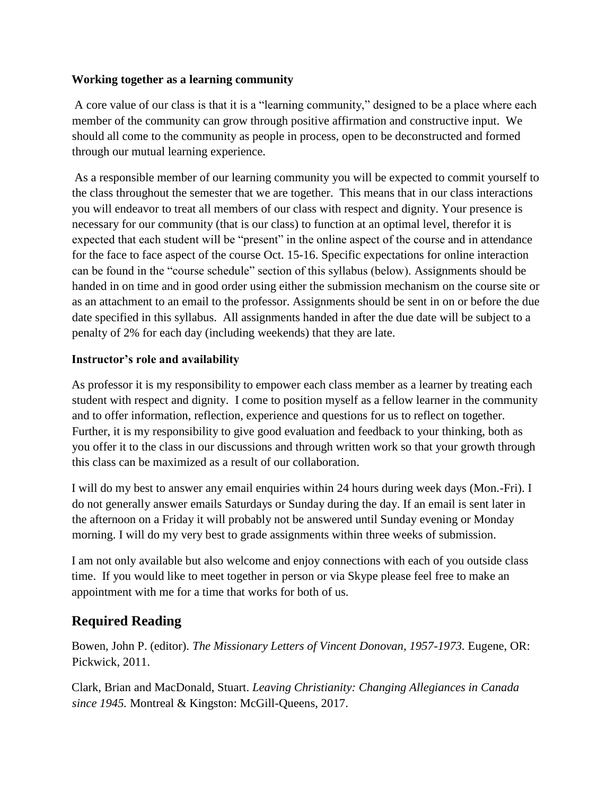#### **Working together as a learning community**

A core value of our class is that it is a "learning community," designed to be a place where each member of the community can grow through positive affirmation and constructive input. We should all come to the community as people in process, open to be deconstructed and formed through our mutual learning experience.

As a responsible member of our learning community you will be expected to commit yourself to the class throughout the semester that we are together. This means that in our class interactions you will endeavor to treat all members of our class with respect and dignity. Your presence is necessary for our community (that is our class) to function at an optimal level, therefor it is expected that each student will be "present" in the online aspect of the course and in attendance for the face to face aspect of the course Oct. 15-16. Specific expectations for online interaction can be found in the "course schedule" section of this syllabus (below). Assignments should be handed in on time and in good order using either the submission mechanism on the course site or as an attachment to an email to the professor. Assignments should be sent in on or before the due date specified in this syllabus. All assignments handed in after the due date will be subject to a penalty of 2% for each day (including weekends) that they are late.

#### **Instructor's role and availability**

As professor it is my responsibility to empower each class member as a learner by treating each student with respect and dignity. I come to position myself as a fellow learner in the community and to offer information, reflection, experience and questions for us to reflect on together. Further, it is my responsibility to give good evaluation and feedback to your thinking, both as you offer it to the class in our discussions and through written work so that your growth through this class can be maximized as a result of our collaboration.

I will do my best to answer any email enquiries within 24 hours during week days (Mon.-Fri). I do not generally answer emails Saturdays or Sunday during the day. If an email is sent later in the afternoon on a Friday it will probably not be answered until Sunday evening or Monday morning. I will do my very best to grade assignments within three weeks of submission.

I am not only available but also welcome and enjoy connections with each of you outside class time. If you would like to meet together in person or via Skype please feel free to make an appointment with me for a time that works for both of us.

## **Required Reading**

Bowen, John P. (editor). *The Missionary Letters of Vincent Donovan, 1957-1973.* Eugene, OR: Pickwick, 2011.

Clark, Brian and MacDonald, Stuart. *Leaving Christianity: Changing Allegiances in Canada since 1945.* Montreal & Kingston: McGill-Queens, 2017.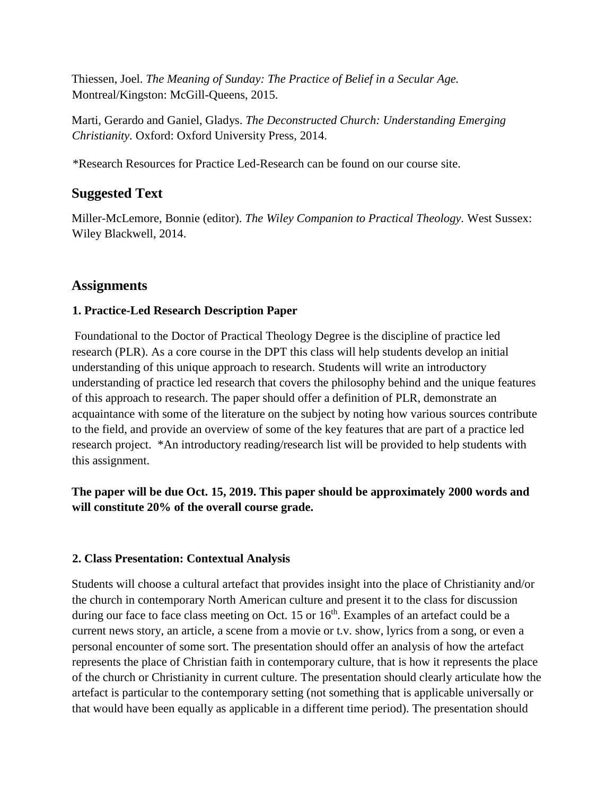Thiessen, Joel. *The Meaning of Sunday: The Practice of Belief in a Secular Age.*  Montreal/Kingston: McGill-Queens, 2015.

Marti, Gerardo and Ganiel, Gladys. *The Deconstructed Church: Understanding Emerging Christianity.* Oxford: Oxford University Press, 2014.

\*Research Resources for Practice Led-Research can be found on our course site.

## **Suggested Text**

Miller-McLemore, Bonnie (editor). *The Wiley Companion to Practical Theology.* West Sussex: Wiley Blackwell, 2014.

## **Assignments**

#### **1. Practice-Led Research Description Paper**

Foundational to the Doctor of Practical Theology Degree is the discipline of practice led research (PLR). As a core course in the DPT this class will help students develop an initial understanding of this unique approach to research. Students will write an introductory understanding of practice led research that covers the philosophy behind and the unique features of this approach to research. The paper should offer a definition of PLR, demonstrate an acquaintance with some of the literature on the subject by noting how various sources contribute to the field, and provide an overview of some of the key features that are part of a practice led research project. \*An introductory reading/research list will be provided to help students with this assignment.

## **The paper will be due Oct. 15, 2019. This paper should be approximately 2000 words and will constitute 20% of the overall course grade.**

#### **2. Class Presentation: Contextual Analysis**

Students will choose a cultural artefact that provides insight into the place of Christianity and/or the church in contemporary North American culture and present it to the class for discussion during our face to face class meeting on Oct. 15 or 16<sup>th</sup>. Examples of an artefact could be a current news story, an article, a scene from a movie or t.v. show, lyrics from a song, or even a personal encounter of some sort. The presentation should offer an analysis of how the artefact represents the place of Christian faith in contemporary culture, that is how it represents the place of the church or Christianity in current culture. The presentation should clearly articulate how the artefact is particular to the contemporary setting (not something that is applicable universally or that would have been equally as applicable in a different time period). The presentation should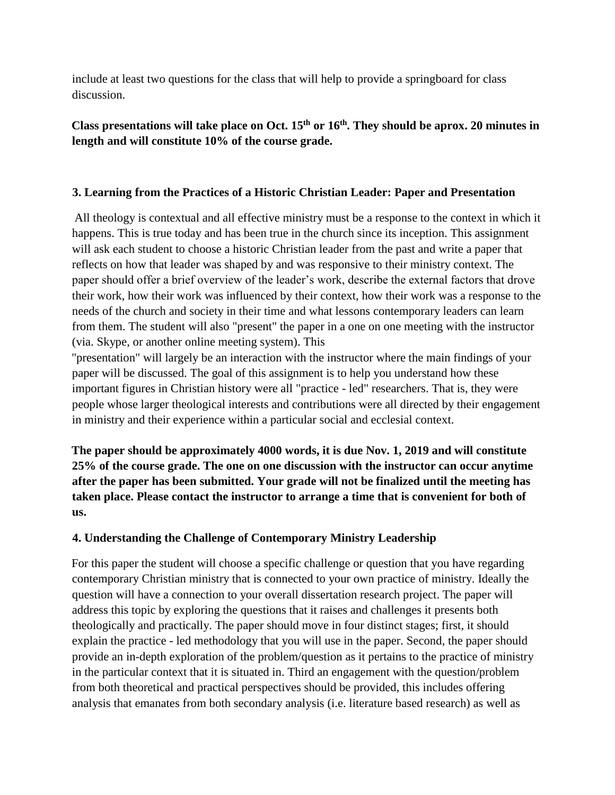include at least two questions for the class that will help to provide a springboard for class discussion.

### **Class presentations will take place on Oct. 15th or 16 th . They should be aprox. 20 minutes in length and will constitute 10% of the course grade.**

#### **3. Learning from the Practices of a Historic Christian Leader: Paper and Presentation**

All theology is contextual and all effective ministry must be a response to the context in which it happens. This is true today and has been true in the church since its inception. This assignment will ask each student to choose a historic Christian leader from the past and write a paper that reflects on how that leader was shaped by and was responsive to their ministry context. The paper should offer a brief overview of the leader's work, describe the external factors that drove their work, how their work was influenced by their context, how their work was a response to the needs of the church and society in their time and what lessons contemporary leaders can learn from them. The student will also "present" the paper in a one on one meeting with the instructor (via. Skype, or another online meeting system). This

"presentation" will largely be an interaction with the instructor where the main findings of your paper will be discussed. The goal of this assignment is to help you understand how these important figures in Christian history were all "practice - led" researchers. That is, they were people whose larger theological interests and contributions were all directed by their engagement in ministry and their experience within a particular social and ecclesial context.

**The paper should be approximately 4000 words, it is due Nov. 1, 2019 and will constitute 25% of the course grade. The one on one discussion with the instructor can occur anytime after the paper has been submitted. Your grade will not be finalized until the meeting has taken place. Please contact the instructor to arrange a time that is convenient for both of us.** 

### **4. Understanding the Challenge of Contemporary Ministry Leadership**

For this paper the student will choose a specific challenge or question that you have regarding contemporary Christian ministry that is connected to your own practice of ministry. Ideally the question will have a connection to your overall dissertation research project. The paper will address this topic by exploring the questions that it raises and challenges it presents both theologically and practically. The paper should move in four distinct stages; first, it should explain the practice - led methodology that you will use in the paper. Second, the paper should provide an in-depth exploration of the problem/question as it pertains to the practice of ministry in the particular context that it is situated in. Third an engagement with the question/problem from both theoretical and practical perspectives should be provided, this includes offering analysis that emanates from both secondary analysis (i.e. literature based research) as well as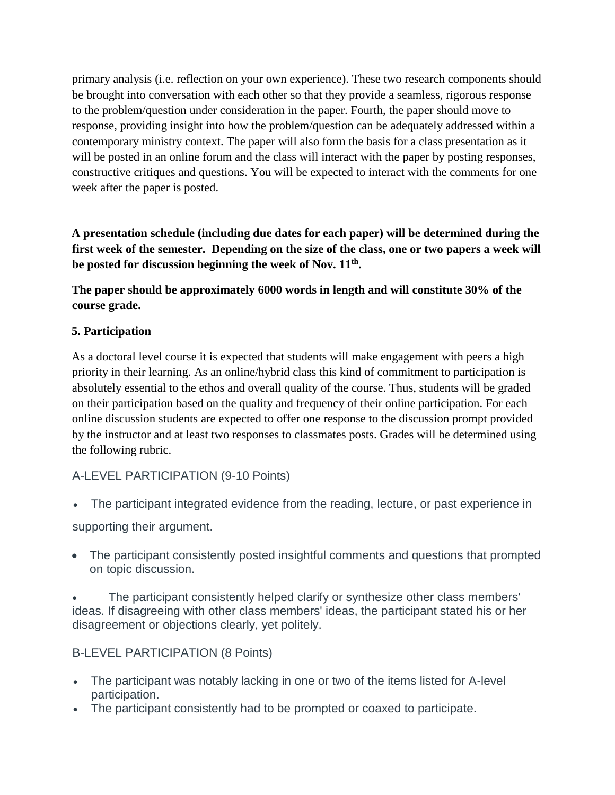primary analysis (i.e. reflection on your own experience). These two research components should be brought into conversation with each other so that they provide a seamless, rigorous response to the problem/question under consideration in the paper. Fourth, the paper should move to response, providing insight into how the problem/question can be adequately addressed within a contemporary ministry context. The paper will also form the basis for a class presentation as it will be posted in an online forum and the class will interact with the paper by posting responses, constructive critiques and questions. You will be expected to interact with the comments for one week after the paper is posted.

**A presentation schedule (including due dates for each paper) will be determined during the first week of the semester. Depending on the size of the class, one or two papers a week will be posted for discussion beginning the week of Nov. 11th .** 

**The paper should be approximately 6000 words in length and will constitute 30% of the course grade.** 

#### **5. Participation**

As a doctoral level course it is expected that students will make engagement with peers a high priority in their learning. As an online/hybrid class this kind of commitment to participation is absolutely essential to the ethos and overall quality of the course. Thus, students will be graded on their participation based on the quality and frequency of their online participation. For each online discussion students are expected to offer one response to the discussion prompt provided by the instructor and at least two responses to classmates posts. Grades will be determined using the following rubric.

### A-LEVEL PARTICIPATION (9-10 Points)

- The participant integrated evidence from the reading, lecture, or past experience in supporting their argument.
- The participant consistently posted insightful comments and questions that prompted on topic discussion.

 The participant consistently helped clarify or synthesize other class members' ideas. If disagreeing with other class members' ideas, the participant stated his or her disagreement or objections clearly, yet politely.

### B-LEVEL PARTICIPATION (8 Points)

- The participant was notably lacking in one or two of the items listed for A-level participation.
- The participant consistently had to be prompted or coaxed to participate.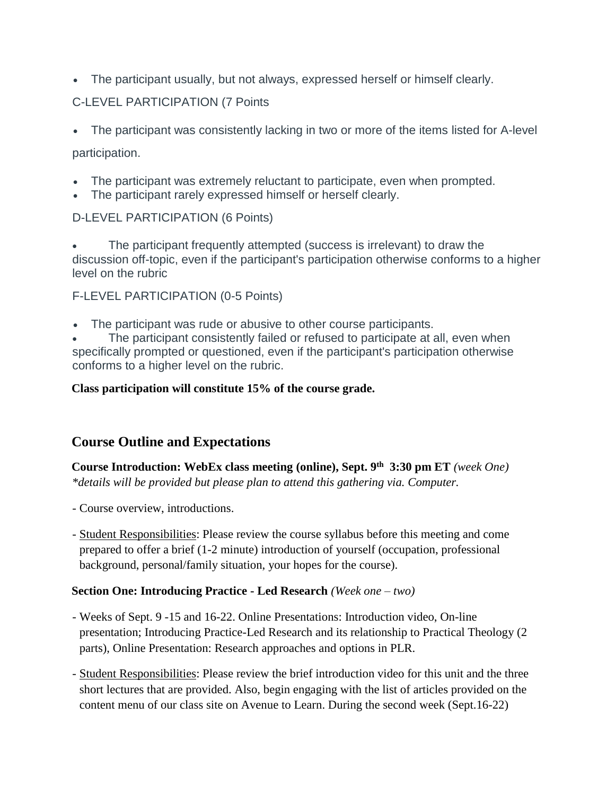The participant usually, but not always, expressed herself or himself clearly.

## C-LEVEL PARTICIPATION (7 Points

• The participant was consistently lacking in two or more of the items listed for A-level

## participation.

- The participant was extremely reluctant to participate, even when prompted.
- The participant rarely expressed himself or herself clearly.

## D-LEVEL PARTICIPATION (6 Points)

 The participant frequently attempted (success is irrelevant) to draw the discussion off-topic, even if the participant's participation otherwise conforms to a higher level on the rubric

## F-LEVEL PARTICIPATION (0-5 Points)

• The participant was rude or abusive to other course participants.

 The participant consistently failed or refused to participate at all, even when specifically prompted or questioned, even if the participant's participation otherwise conforms to a higher level on the rubric.

### **Class participation will constitute 15% of the course grade.**

## **Course Outline and Expectations**

**Course Introduction: WebEx class meeting (online), Sept. 9 th 3:30 pm ET** *(week One) \*details will be provided but please plan to attend this gathering via. Computer.*

- Course overview, introductions.
- Student Responsibilities: Please review the course syllabus before this meeting and come prepared to offer a brief (1-2 minute) introduction of yourself (occupation, professional background, personal/family situation, your hopes for the course).

### **Section One: Introducing Practice - Led Research** *(Week one – two)*

- Weeks of Sept. 9 -15 and 16-22. Online Presentations: Introduction video, On-line presentation; Introducing Practice-Led Research and its relationship to Practical Theology (2 parts), Online Presentation: Research approaches and options in PLR.
- Student Responsibilities: Please review the brief introduction video for this unit and the three short lectures that are provided. Also, begin engaging with the list of articles provided on the content menu of our class site on Avenue to Learn. During the second week (Sept.16-22)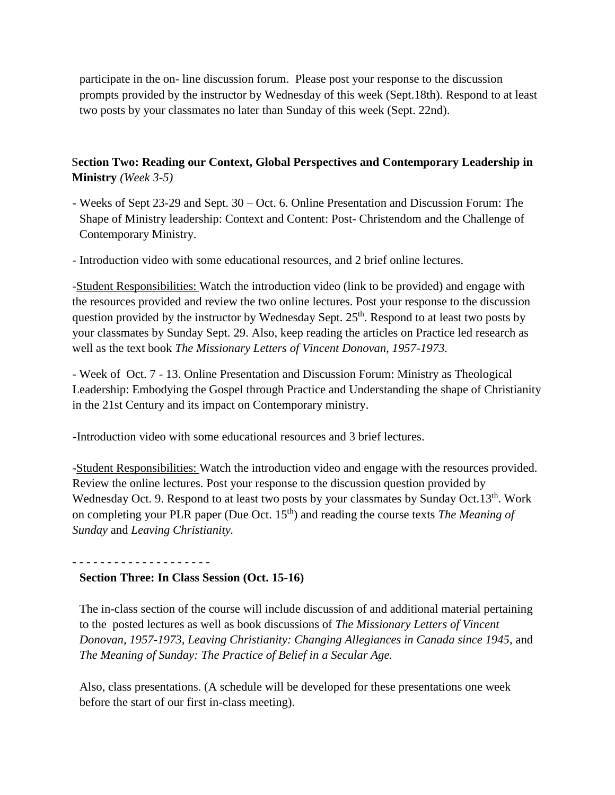participate in the on- line discussion forum. Please post your response to the discussion prompts provided by the instructor by Wednesday of this week (Sept.18th). Respond to at least two posts by your classmates no later than Sunday of this week (Sept. 22nd).

#### S**ection Two: Reading our Context, Global Perspectives and Contemporary Leadership in Ministry** *(Week 3-5)*

- Weeks of Sept 23-29 and Sept. 30 Oct. 6. Online Presentation and Discussion Forum: The Shape of Ministry leadership: Context and Content: Post- Christendom and the Challenge of Contemporary Ministry.
- Introduction video with some educational resources, and 2 brief online lectures.

-Student Responsibilities: Watch the introduction video (link to be provided) and engage with the resources provided and review the two online lectures. Post your response to the discussion question provided by the instructor by Wednesday Sept. 25<sup>th</sup>. Respond to at least two posts by your classmates by Sunday Sept. 29. Also, keep reading the articles on Practice led research as well as the text book *The Missionary Letters of Vincent Donovan, 1957-1973.*

- Week of Oct. 7 - 13. Online Presentation and Discussion Forum: Ministry as Theological Leadership: Embodying the Gospel through Practice and Understanding the shape of Christianity in the 21st Century and its impact on Contemporary ministry.

-Introduction video with some educational resources and 3 brief lectures.

-Student Responsibilities: Watch the introduction video and engage with the resources provided. Review the online lectures. Post your response to the discussion question provided by Wednesday Oct. 9. Respond to at least two posts by your classmates by Sunday Oct.13<sup>th</sup>. Work on completing your PLR paper (Due Oct. 15<sup>th</sup>) and reading the course texts *The Meaning of Sunday* and *Leaving Christianity.* 

## **Section Three: In Class Session (Oct. 15-16)**

- - - - - - - - - - - - - - - - - - - -

The in-class section of the course will include discussion of and additional material pertaining to the posted lectures as well as book discussions of *The Missionary Letters of Vincent Donovan, 1957-1973, Leaving Christianity: Changing Allegiances in Canada since 1945,* and *The Meaning of Sunday: The Practice of Belief in a Secular Age.*

Also, class presentations. (A schedule will be developed for these presentations one week before the start of our first in-class meeting).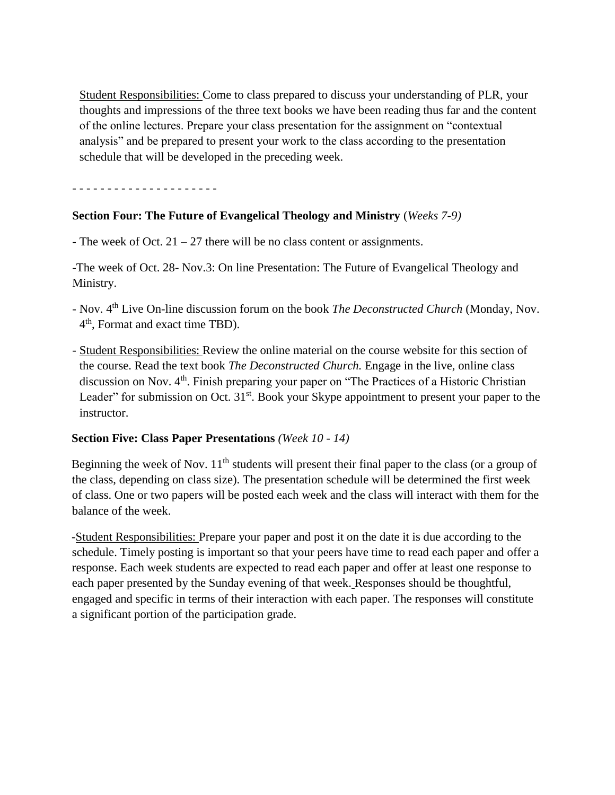Student Responsibilities: Come to class prepared to discuss your understanding of PLR, your thoughts and impressions of the three text books we have been reading thus far and the content of the online lectures. Prepare your class presentation for the assignment on "contextual analysis" and be prepared to present your work to the class according to the presentation schedule that will be developed in the preceding week.

- - - - - - - - - - - - - - - - - - - - -

#### **Section Four: The Future of Evangelical Theology and Ministry** (*Weeks 7-9)*

- The week of Oct.  $21 - 27$  there will be no class content or assignments.

-The week of Oct. 28- Nov.3: On line Presentation: The Future of Evangelical Theology and Ministry.

- Nov. 4th Live On-line discussion forum on the book *The Deconstructed Church* (Monday, Nov. 4 th , Format and exact time TBD).
- Student Responsibilities: Review the online material on the course website for this section of the course. Read the text book *The Deconstructed Church.* Engage in the live, online class discussion on Nov. 4<sup>th</sup>. Finish preparing your paper on "The Practices of a Historic Christian Leader" for submission on Oct. 31<sup>st</sup>. Book your Skype appointment to present your paper to the instructor.

#### **Section Five: Class Paper Presentations** *(Week 10 - 14)*

Beginning the week of Nov.  $11<sup>th</sup>$  students will present their final paper to the class (or a group of the class, depending on class size). The presentation schedule will be determined the first week of class. One or two papers will be posted each week and the class will interact with them for the balance of the week.

-Student Responsibilities: Prepare your paper and post it on the date it is due according to the schedule. Timely posting is important so that your peers have time to read each paper and offer a response. Each week students are expected to read each paper and offer at least one response to each paper presented by the Sunday evening of that week. Responses should be thoughtful, engaged and specific in terms of their interaction with each paper. The responses will constitute a significant portion of the participation grade.